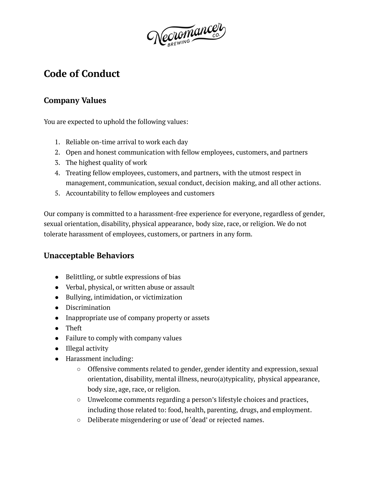Necromancer

# **Code of Conduct**

# **Company Values**

You are expected to uphold the following values:

- 1. Reliable on-time arrival to work each day
- 2. Open and honest communication with fellow employees, customers, and partners
- 3. The highest quality of work
- 4. Treating fellow employees, customers, and partners, with the utmost respect in management, communication, sexual conduct, decision making, and all other actions.
- 5. Accountability to fellow employees and customers

Our company is committed to a harassment-free experience for everyone, regardless of gender, sexual orientation, disability, physical appearance, body size, race, or religion. We do not tolerate harassment of employees, customers, or partners in any form.

## **Unacceptable Behaviors**

- Belittling, or subtle expressions of bias
- Verbal, physical, or written abuse or assault
- Bullying, intimidation, or victimization
- Discrimination
- Inappropriate use of company property or assets
- Theft
- Failure to comply with company values
- Illegal activity
- Harassment including:
	- Offensive comments related to gender, gender identity and expression, sexual orientation, disability, mental illness, neuro(a)typicality, physical appearance, body size, age, race, or religion.
	- $\circ$  Unwelcome comments regarding a person's lifestyle choices and practices, including those related to: food, health, parenting, drugs, and employment.
	- Deliberate misgendering or use of 'dead' or rejected names.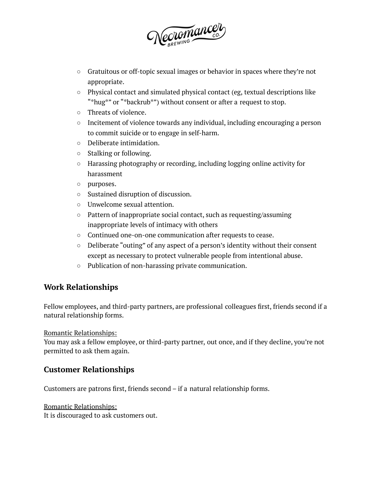

- Gratuitous or off-topic sexual images or behavior in spaces where they're not appropriate.
- Physical contact and simulated physical contact (eg, textual descriptions like "\*hug\*" or "\*backrub\*") without consent or after a request to stop.
- Threats of violence.
- Incitement of violence towards any individual, including encouraging a person to commit suicide or to engage in self-harm.
- Deliberate intimidation.
- Stalking or following.
- Harassing photography or recording, including logging online activity for harassment
- purposes.
- Sustained disruption of discussion.
- Unwelcome sexual attention.
- Pattern of inappropriate social contact, such as requesting/assuming inappropriate levels of intimacy with others
- Continued one-on-one communication after requests to cease.
- Deliberate "outing" of any aspect of a person's identity without their consent except as necessary to protect vulnerable people from intentional abuse.
- Publication of non-harassing private communication.

### **Work Relationships**

Fellow employees, and third-party partners, are professional colleagues first, friends second if a natural relationship forms.

Romantic Relationships:

You may ask a fellow employee, or third-party partner, out once, and if they decline, you're not permitted to ask them again.

## **Customer Relationships**

Customers are patrons first, friends second – if a natural relationship forms.

Romantic Relationships:

It is discouraged to ask customers out.